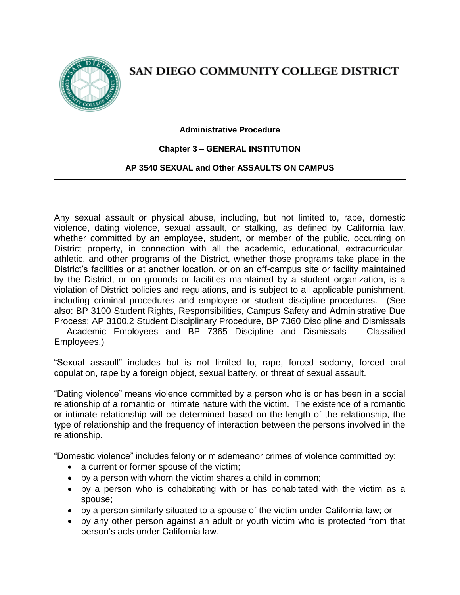

# SAN DIEGO COMMUNITY COLLEGE DISTRICT

#### **Administrative Procedure**

### **Chapter 3 – GENERAL INSTITUTION**

### **AP 3540 SEXUAL and Other ASSAULTS ON CAMPUS**

Any sexual assault or physical abuse, including, but not limited to, rape, domestic violence, dating violence, sexual assault, or stalking, as defined by California law, whether committed by an employee, student, or member of the public, occurring on District property, in connection with all the academic, educational, extracurricular, athletic, and other programs of the District, whether those programs take place in the District's facilities or at another location, or on an off-campus site or facility maintained by the District, or on grounds or facilities maintained by a student organization, is a violation of District policies and regulations, and is subject to all applicable punishment, including criminal procedures and employee or student discipline procedures. (See also: BP 3100 Student Rights, Responsibilities, Campus Safety and Administrative Due Process; AP 3100.2 Student Disciplinary Procedure, BP 7360 Discipline and Dismissals – Academic Employees and BP 7365 Discipline and Dismissals – Classified Employees.)

"Sexual assault" includes but is not limited to, rape, forced sodomy, forced oral copulation, rape by a foreign object, sexual battery, or threat of sexual assault.

"Dating violence" means violence committed by a person who is or has been in a social relationship of a romantic or intimate nature with the victim. The existence of a romantic or intimate relationship will be determined based on the length of the relationship, the type of relationship and the frequency of interaction between the persons involved in the relationship.

"Domestic violence" includes felony or misdemeanor crimes of violence committed by:

- a current or former spouse of the victim;
- by a person with whom the victim shares a child in common;
- by a person who is cohabitating with or has cohabitated with the victim as a spouse;
- by a person similarly situated to a spouse of the victim under California law; or
- by any other person against an adult or youth victim who is protected from that person's acts under California law.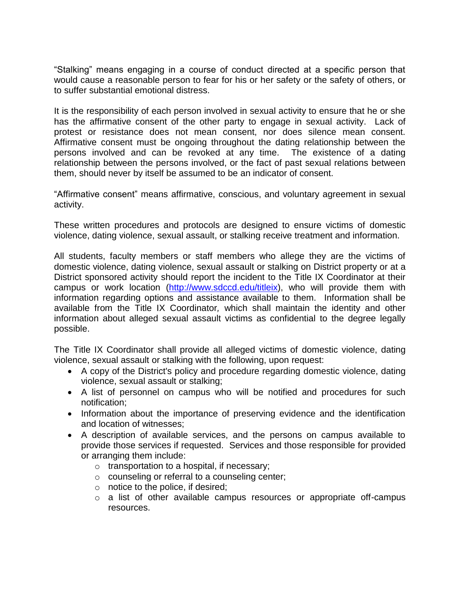"Stalking" means engaging in a course of conduct directed at a specific person that would cause a reasonable person to fear for his or her safety or the safety of others, or to suffer substantial emotional distress.

It is the responsibility of each person involved in sexual activity to ensure that he or she has the affirmative consent of the other party to engage in sexual activity. Lack of protest or resistance does not mean consent, nor does silence mean consent. Affirmative consent must be ongoing throughout the dating relationship between the persons involved and can be revoked at any time. The existence of a dating relationship between the persons involved, or the fact of past sexual relations between them, should never by itself be assumed to be an indicator of consent.

"Affirmative consent" means affirmative, conscious, and voluntary agreement in sexual activity.

These written procedures and protocols are designed to ensure victims of domestic violence, dating violence, sexual assault, or stalking receive treatment and information.

All students, faculty members or staff members who allege they are the victims of domestic violence, dating violence, sexual assault or stalking on District property or at a District sponsored activity should report the incident to the Title IX Coordinator at their campus or work location [\(http://www.sdccd.edu/titleix\)](http://www.sdccd.edu/titleix), who will provide them with information regarding options and assistance available to them. Information shall be available from the Title IX Coordinator*,* which shall maintain the identity and other information about alleged sexual assault victims as confidential to the degree legally possible.

The Title IX Coordinator shall provide all alleged victims of domestic violence, dating violence, sexual assault or stalking with the following, upon request:

- A copy of the District's policy and procedure regarding domestic violence, dating violence, sexual assault or stalking;
- A list of personnel on campus who will be notified and procedures for such notification;
- Information about the importance of preserving evidence and the identification and location of witnesses;
- A description of available services, and the persons on campus available to provide those services if requested. Services and those responsible for provided or arranging them include:
	- o transportation to a hospital, if necessary;
	- o counseling or referral to a counseling center;
	- $\circ$  notice to the police, if desired;
	- o a list of other available campus resources or appropriate off-campus resources.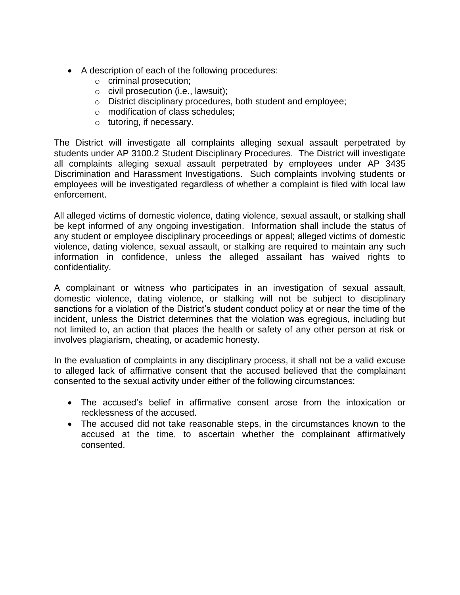- A description of each of the following procedures:
	- o criminal prosecution;
	- o civil prosecution (i.e., lawsuit);
	- o District disciplinary procedures, both student and employee;
	- o modification of class schedules;
	- o tutoring, if necessary.

The District will investigate all complaints alleging sexual assault perpetrated by students under AP 3100.2 Student Disciplinary Procedures. The District will investigate all complaints alleging sexual assault perpetrated by employees under AP 3435 Discrimination and Harassment Investigations. Such complaints involving students or employees will be investigated regardless of whether a complaint is filed with local law enforcement.

All alleged victims of domestic violence, dating violence, sexual assault, or stalking shall be kept informed of any ongoing investigation. Information shall include the status of any student or employee disciplinary proceedings or appeal; alleged victims of domestic violence, dating violence, sexual assault, or stalking are required to maintain any such information in confidence, unless the alleged assailant has waived rights to confidentiality.

A complainant or witness who participates in an investigation of sexual assault, domestic violence, dating violence, or stalking will not be subject to disciplinary sanctions for a violation of the District's student conduct policy at or near the time of the incident, unless the District determines that the violation was egregious, including but not limited to, an action that places the health or safety of any other person at risk or involves plagiarism, cheating, or academic honesty.

In the evaluation of complaints in any disciplinary process, it shall not be a valid excuse to alleged lack of affirmative consent that the accused believed that the complainant consented to the sexual activity under either of the following circumstances:

- The accused's belief in affirmative consent arose from the intoxication or recklessness of the accused.
- The accused did not take reasonable steps, in the circumstances known to the accused at the time, to ascertain whether the complainant affirmatively consented.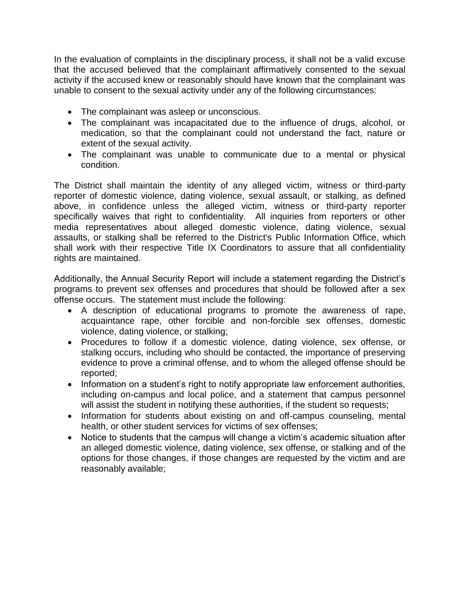In the evaluation of complaints in the disciplinary process, it shall not be a valid excuse that the accused believed that the complainant affirmatively consented to the sexual activity if the accused knew or reasonably should have known that the complainant was unable to consent to the sexual activity under any of the following circumstances:

- The complainant was asleep or unconscious.
- The complainant was incapacitated due to the influence of drugs, alcohol, or medication, so that the complainant could not understand the fact, nature or extent of the sexual activity.
- The complainant was unable to communicate due to a mental or physical condition.

The District shall maintain the identity of any alleged victim, witness or third-party reporter of domestic violence, dating violence, sexual assault, or stalking, as defined above, in confidence unless the alleged victim, witness or third-party reporter specifically waives that right to confidentiality. All inquiries from reporters or other media representatives about alleged domestic violence, dating violence, sexual assaults, or stalking shall be referred to the District's Public Information Office, which shall work with their respective Title IX Coordinators to assure that all confidentiality rights are maintained.

Additionally, the Annual Security Report will include a statement regarding the District's programs to prevent sex offenses and procedures that should be followed after a sex offense occurs. The statement must include the following:

- A description of educational programs to promote the awareness of rape, acquaintance rape, other forcible and non-forcible sex offenses, domestic violence, dating violence, or stalking;
- Procedures to follow if a domestic violence, dating violence, sex offense, or stalking occurs, including who should be contacted, the importance of preserving evidence to prove a criminal offense, and to whom the alleged offense should be reported;
- Information on a student's right to notify appropriate law enforcement authorities, including on-campus and local police, and a statement that campus personnel will assist the student in notifying these authorities, if the student so requests;
- Information for students about existing on and off-campus counseling, mental health, or other student services for victims of sex offenses:
- Notice to students that the campus will change a victim's academic situation after an alleged domestic violence, dating violence, sex offense, or stalking and of the options for those changes, if those changes are requested by the victim and are reasonably available;